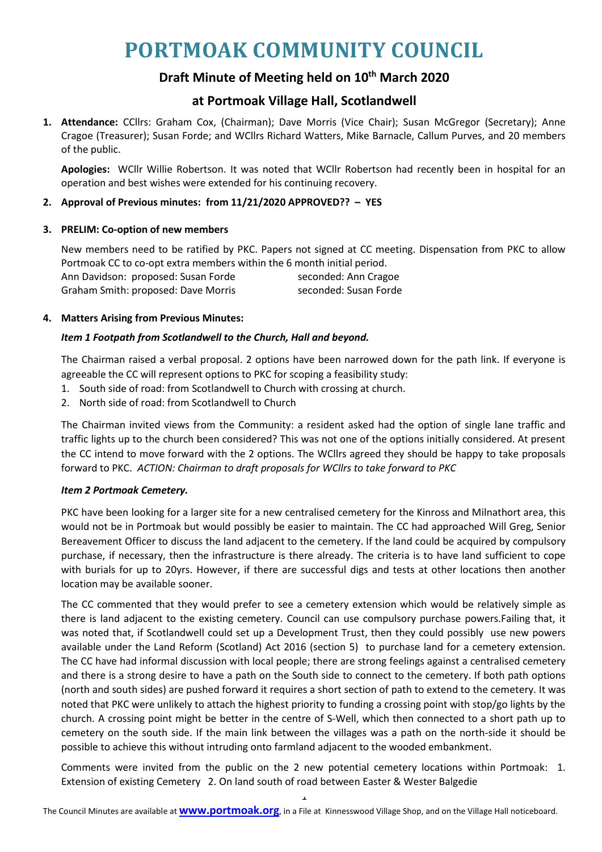# **PORTMOAK COMMUNITY COUNCIL**

## **Draft Minute of Meeting held on 10 th March 2020**

### **at Portmoak Village Hall, Scotlandwell**

**1. Attendance:** CCllrs: Graham Cox, (Chairman); Dave Morris (Vice Chair); Susan McGregor (Secretary); Anne Cragoe (Treasurer); Susan Forde; and WCllrs Richard Watters, Mike Barnacle, Callum Purves, and 20 members of the public.

**Apologies:** WCllr Willie Robertson. It was noted that WCllr Robertson had recently been in hospital for an operation and best wishes were extended for his continuing recovery.

#### **2. Approval of Previous minutes: from 11/21/2020 APPROVED?? – YES**

#### **3. PRELIM: Co-option of new members**

New members need to be ratified by PKC. Papers not signed at CC meeting. Dispensation from PKC to allow Portmoak CC to co-opt extra members within the 6 month initial period. Ann Davidson: proposed: Susan Forde seconded: Ann Cragoe Graham Smith: proposed: Dave Morris seconded: Susan Forde

#### **4. Matters Arising from Previous Minutes:**

#### *Item 1 Footpath from Scotlandwell to the Church, Hall and beyond.*

The Chairman raised a verbal proposal. 2 options have been narrowed down for the path link. If everyone is agreeable the CC will represent options to PKC for scoping a feasibility study:

- 1. South side of road: from Scotlandwell to Church with crossing at church.
- 2. North side of road: from Scotlandwell to Church

The Chairman invited views from the Community: a resident asked had the option of single lane traffic and traffic lights up to the church been considered? This was not one of the options initially considered. At present the CC intend to move forward with the 2 options. The WCllrs agreed they should be happy to take proposals forward to PKC. *ACTION: Chairman to draft proposals for WCllrs to take forward to PKC*

#### *Item 2 Portmoak Cemetery.*

PKC have been looking for a larger site for a new centralised cemetery for the Kinross and Milnathort area, this would not be in Portmoak but would possibly be easier to maintain. The CC had approached Will Greg, Senior Bereavement Officer to discuss the land adjacent to the cemetery. If the land could be acquired by compulsory purchase, if necessary, then the infrastructure is there already. The criteria is to have land sufficient to cope with burials for up to 20yrs. However, if there are successful digs and tests at other locations then another location may be available sooner.

The CC commented that they would prefer to see a cemetery extension which would be relatively simple as there is land adjacent to the existing cemetery. Council can use compulsory purchase powers.Failing that, it was noted that, if Scotlandwell could set up a Development Trust, then they could possibly use new powers available under the Land Reform (Scotland) Act 2016 (section 5) to purchase land for a cemetery extension. The CC have had informal discussion with local people; there are strong feelings against a centralised cemetery and there is a strong desire to have a path on the South side to connect to the cemetery. If both path options (north and south sides) are pushed forward it requires a short section of path to extend to the cemetery. It was noted that PKC were unlikely to attach the highest priority to funding a crossing point with stop/go lights by the church. A crossing point might be better in the centre of S-Well, which then connected to a short path up to cemetery on the south side. If the main link between the villages was a path on the north-side it should be possible to achieve this without intruding onto farmland adjacent to the wooded embankment.

Comments were invited from the public on the 2 new potential cemetery locations within Portmoak: 1. Extension of existing Cemetery 2. On land south of road between Easter & Wester Balgedie

1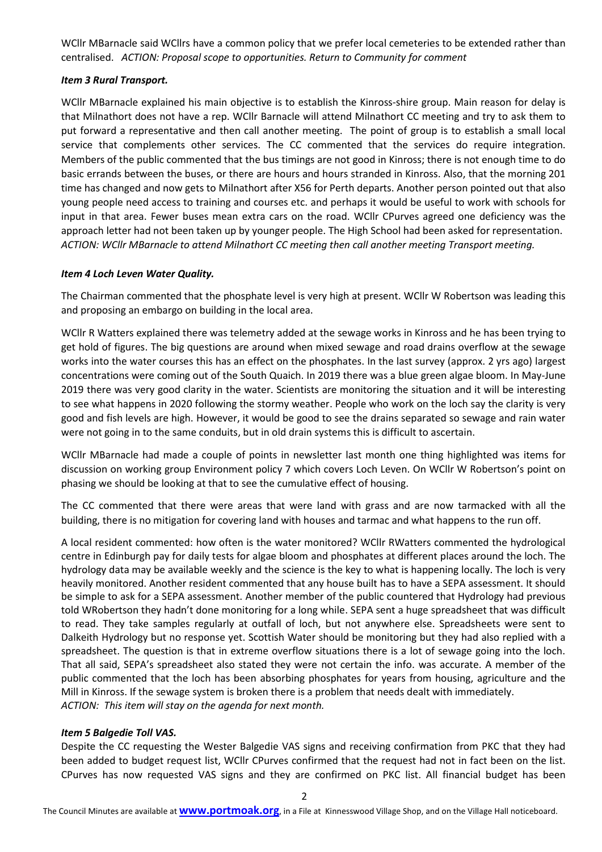WCllr MBarnacle said WCllrs have a common policy that we prefer local cemeteries to be extended rather than centralised. *ACTION: Proposal scope to opportunities. Return to Community for comment*

#### *Item 3 Rural Transport.*

WCllr MBarnacle explained his main objective is to establish the Kinross-shire group. Main reason for delay is that Milnathort does not have a rep. WCllr Barnacle will attend Milnathort CC meeting and try to ask them to put forward a representative and then call another meeting. The point of group is to establish a small local service that complements other services. The CC commented that the services do require integration. Members of the public commented that the bus timings are not good in Kinross; there is not enough time to do basic errands between the buses, or there are hours and hours stranded in Kinross. Also, that the morning 201 time has changed and now gets to Milnathort after X56 for Perth departs. Another person pointed out that also young people need access to training and courses etc. and perhaps it would be useful to work with schools for input in that area. Fewer buses mean extra cars on the road. WCllr CPurves agreed one deficiency was the approach letter had not been taken up by younger people. The High School had been asked for representation. *ACTION: WCllr MBarnacle to attend Milnathort CC meeting then call another meeting Transport meeting.*

#### *Item 4 Loch Leven Water Quality.*

The Chairman commented that the phosphate level is very high at present. WCllr W Robertson was leading this and proposing an embargo on building in the local area.

WCllr R Watters explained there was telemetry added at the sewage works in Kinross and he has been trying to get hold of figures. The big questions are around when mixed sewage and road drains overflow at the sewage works into the water courses this has an effect on the phosphates. In the last survey (approx. 2 yrs ago) largest concentrations were coming out of the South Quaich. In 2019 there was a blue green algae bloom. In May-June 2019 there was very good clarity in the water. Scientists are monitoring the situation and it will be interesting to see what happens in 2020 following the stormy weather. People who work on the loch say the clarity is very good and fish levels are high. However, it would be good to see the drains separated so sewage and rain water were not going in to the same conduits, but in old drain systems this is difficult to ascertain.

WCllr MBarnacle had made a couple of points in newsletter last month one thing highlighted was items for discussion on working group Environment policy 7 which covers Loch Leven. On WCllr W Robertson's point on phasing we should be looking at that to see the cumulative effect of housing.

The CC commented that there were areas that were land with grass and are now tarmacked with all the building, there is no mitigation for covering land with houses and tarmac and what happens to the run off.

A local resident commented: how often is the water monitored? WCllr RWatters commented the hydrological centre in Edinburgh pay for daily tests for algae bloom and phosphates at different places around the loch. The hydrology data may be available weekly and the science is the key to what is happening locally. The loch is very heavily monitored. Another resident commented that any house built has to have a SEPA assessment. It should be simple to ask for a SEPA assessment. Another member of the public countered that Hydrology had previous told WRobertson they hadn't done monitoring for a long while. SEPA sent a huge spreadsheet that was difficult to read. They take samples regularly at outfall of loch, but not anywhere else. Spreadsheets were sent to Dalkeith Hydrology but no response yet. Scottish Water should be monitoring but they had also replied with a spreadsheet. The question is that in extreme overflow situations there is a lot of sewage going into the loch. That all said, SEPA's spreadsheet also stated they were not certain the info. was accurate. A member of the public commented that the loch has been absorbing phosphates for years from housing, agriculture and the Mill in Kinross. If the sewage system is broken there is a problem that needs dealt with immediately. *ACTION: This item will stay on the agenda for next month.*

#### *Item 5 Balgedie Toll VAS.*

Despite the CC requesting the Wester Balgedie VAS signs and receiving confirmation from PKC that they had been added to budget request list, WCllr CPurves confirmed that the request had not in fact been on the list. CPurves has now requested VAS signs and they are confirmed on PKC list. All financial budget has been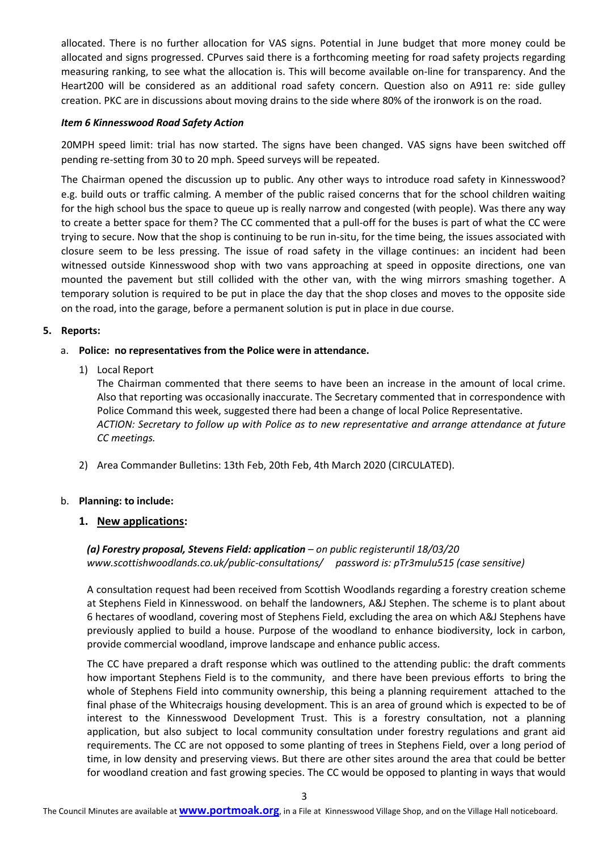allocated. There is no further allocation for VAS signs. Potential in June budget that more money could be allocated and signs progressed. CPurves said there is a forthcoming meeting for road safety projects regarding measuring ranking, to see what the allocation is. This will become available on-line for transparency. And the Heart200 will be considered as an additional road safety concern. Question also on A911 re: side gulley creation. PKC are in discussions about moving drains to the side where 80% of the ironwork is on the road.

#### *Item 6 Kinnesswood Road Safety Action*

20MPH speed limit: trial has now started. The signs have been changed. VAS signs have been switched off pending re-setting from 30 to 20 mph. Speed surveys will be repeated.

The Chairman opened the discussion up to public. Any other ways to introduce road safety in Kinnesswood? e.g. build outs or traffic calming. A member of the public raised concerns that for the school children waiting for the high school bus the space to queue up is really narrow and congested (with people). Was there any way to create a better space for them? The CC commented that a pull-off for the buses is part of what the CC were trying to secure. Now that the shop is continuing to be run in-situ, for the time being, the issues associated with closure seem to be less pressing. The issue of road safety in the village continues: an incident had been witnessed outside Kinnesswood shop with two vans approaching at speed in opposite directions, one van mounted the pavement but still collided with the other van, with the wing mirrors smashing together. A temporary solution is required to be put in place the day that the shop closes and moves to the opposite side on the road, into the garage, before a permanent solution is put in place in due course.

#### **5. Reports:**

#### a. **Police: no representatives from the Police were in attendance.**

1) Local Report

The Chairman commented that there seems to have been an increase in the amount of local crime. Also that reporting was occasionally inaccurate. The Secretary commented that in correspondence with Police Command this week, suggested there had been a change of local Police Representative. *ACTION: Secretary to follow up with Police as to new representative and arrange attendance at future CC meetings.*

2) Area Commander Bulletins: 13th Feb, 20th Feb, 4th March 2020 (CIRCULATED).

#### b. **Planning: to include:**

#### **1. New applications:**

#### *(a) Forestry proposal, Stevens Field: application – on public registeruntil 18/03/20 www.scottishwoodlands.co.uk/public-consultations/ password is: pTr3mulu515 (case sensitive)*

A consultation request had been received from Scottish Woodlands regarding a forestry creation scheme at Stephens Field in Kinnesswood. on behalf the landowners, A&J Stephen. The scheme is to plant about 6 hectares of woodland, covering most of Stephens Field, excluding the area on which A&J Stephens have previously applied to build a house. Purpose of the woodland to enhance biodiversity, lock in carbon, provide commercial woodland, improve landscape and enhance public access.

The CC have prepared a draft response which was outlined to the attending public: the draft comments how important Stephens Field is to the community, and there have been previous efforts to bring the whole of Stephens Field into community ownership, this being a planning requirement attached to the final phase of the Whitecraigs housing development. This is an area of ground which is expected to be of interest to the Kinnesswood Development Trust. This is a forestry consultation, not a planning application, but also subject to local community consultation under forestry regulations and grant aid requirements. The CC are not opposed to some planting of trees in Stephens Field, over a long period of time, in low density and preserving views. But there are other sites around the area that could be better for woodland creation and fast growing species. The CC would be opposed to planting in ways that would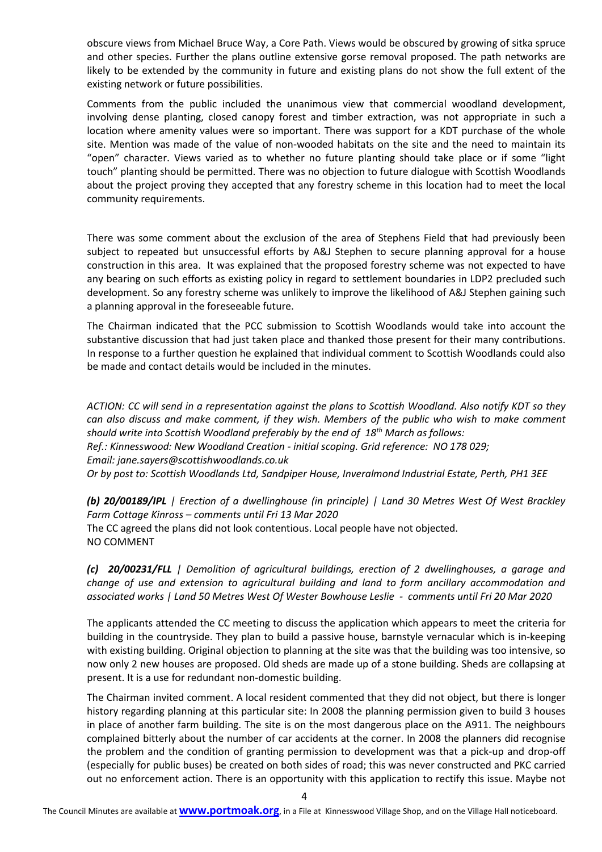obscure views from Michael Bruce Way, a Core Path. Views would be obscured by growing of sitka spruce and other species. Further the plans outline extensive gorse removal proposed. The path networks are likely to be extended by the community in future and existing plans do not show the full extent of the existing network or future possibilities.

Comments from the public included the unanimous view that commercial woodland development, involving dense planting, closed canopy forest and timber extraction, was not appropriate in such a location where amenity values were so important. There was support for a KDT purchase of the whole site. Mention was made of the value of non-wooded habitats on the site and the need to maintain its "open" character. Views varied as to whether no future planting should take place or if some "light touch" planting should be permitted. There was no objection to future dialogue with Scottish Woodlands about the project proving they accepted that any forestry scheme in this location had to meet the local community requirements.

There was some comment about the exclusion of the area of Stephens Field that had previously been subject to repeated but unsuccessful efforts by A&J Stephen to secure planning approval for a house construction in this area. It was explained that the proposed forestry scheme was not expected to have any bearing on such efforts as existing policy in regard to settlement boundaries in LDP2 precluded such development. So any forestry scheme was unlikely to improve the likelihood of A&J Stephen gaining such a planning approval in the foreseeable future.

The Chairman indicated that the PCC submission to Scottish Woodlands would take into account the substantive discussion that had just taken place and thanked those present for their many contributions. In response to a further question he explained that individual comment to Scottish Woodlands could also be made and contact details would be included in the minutes.

*ACTION: CC will send in a representation against the plans to Scottish Woodland. Also notify KDT so they can also discuss and make comment, if they wish. Members of the public who wish to make comment should write into Scottish Woodland preferably by the end of 18th March as follows: Ref.: Kinnesswood: New Woodland Creation - initial scoping. Grid reference: NO 178 029; Email: jane.sayers@scottishwoodlands.co.uk Or by post to: Scottish Woodlands Ltd, Sandpiper House, Inveralmond Industrial Estate, Perth, PH1 3EE*

*(b) 20/00189/IPL | Erection of a dwellinghouse (in principle) | Land 30 Metres West Of West Brackley Farm Cottage Kinross – comments until Fri 13 Mar 2020* The CC agreed the plans did not look contentious. Local people have not objected. NO COMMENT

*(c) 20/00231/FLL | Demolition of agricultural buildings, erection of 2 dwellinghouses, a garage and change of use and extension to agricultural building and land to form ancillary accommodation and associated works | Land 50 Metres West Of Wester Bowhouse Leslie - comments until Fri 20 Mar 2020*

The applicants attended the CC meeting to discuss the application which appears to meet the criteria for building in the countryside. They plan to build a passive house, barnstyle vernacular which is in-keeping with existing building. Original objection to planning at the site was that the building was too intensive, so now only 2 new houses are proposed. Old sheds are made up of a stone building. Sheds are collapsing at present. It is a use for redundant non-domestic building.

The Chairman invited comment. A local resident commented that they did not object, but there is longer history regarding planning at this particular site: In 2008 the planning permission given to build 3 houses in place of another farm building. The site is on the most dangerous place on the A911. The neighbours complained bitterly about the number of car accidents at the corner. In 2008 the planners did recognise the problem and the condition of granting permission to development was that a pick-up and drop-off (especially for public buses) be created on both sides of road; this was never constructed and PKC carried out no enforcement action. There is an opportunity with this application to rectify this issue. Maybe not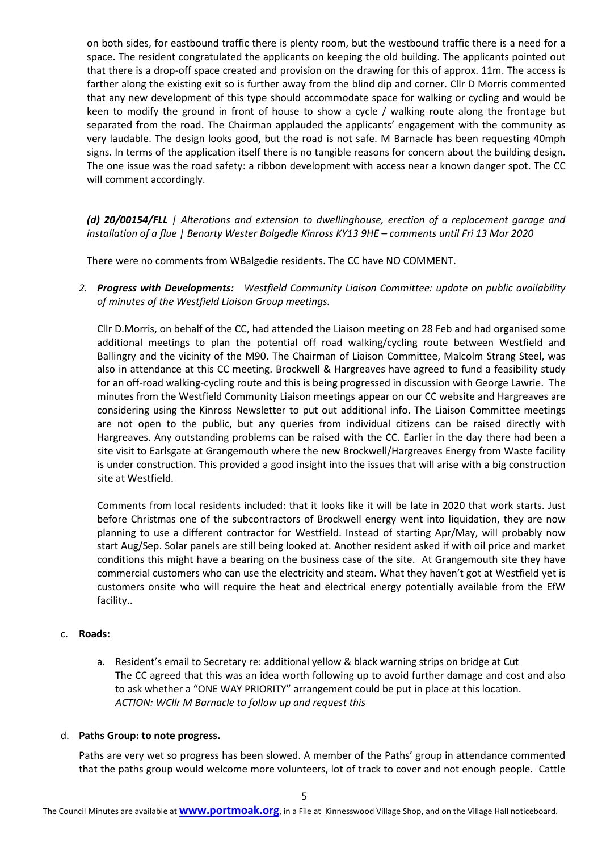on both sides, for eastbound traffic there is plenty room, but the westbound traffic there is a need for a space. The resident congratulated the applicants on keeping the old building. The applicants pointed out that there is a drop-off space created and provision on the drawing for this of approx. 11m. The access is farther along the existing exit so is further away from the blind dip and corner. Cllr D Morris commented that any new development of this type should accommodate space for walking or cycling and would be keen to modify the ground in front of house to show a cycle / walking route along the frontage but separated from the road. The Chairman applauded the applicants' engagement with the community as very laudable. The design looks good, but the road is not safe. M Barnacle has been requesting 40mph signs. In terms of the application itself there is no tangible reasons for concern about the building design. The one issue was the road safety: a ribbon development with access near a known danger spot. The CC will comment accordingly.

*(d) 20/00154/FLL | Alterations and extension to dwellinghouse, erection of a replacement garage and installation of a flue | Benarty Wester Balgedie Kinross KY13 9HE – comments until Fri 13 Mar 2020* 

There were no comments from WBalgedie residents. The CC have NO COMMENT.

*2. Progress with Developments: Westfield Community Liaison Committee: update on public availability of minutes of the Westfield Liaison Group meetings.* 

Cllr D.Morris, on behalf of the CC, had attended the Liaison meeting on 28 Feb and had organised some additional meetings to plan the potential off road walking/cycling route between Westfield and Ballingry and the vicinity of the M90. The Chairman of Liaison Committee, Malcolm Strang Steel, was also in attendance at this CC meeting. Brockwell & Hargreaves have agreed to fund a feasibility study for an off-road walking-cycling route and this is being progressed in discussion with George Lawrie. The minutes from the Westfield Community Liaison meetings appear on our CC website and Hargreaves are considering using the Kinross Newsletter to put out additional info. The Liaison Committee meetings are not open to the public, but any queries from individual citizens can be raised directly with Hargreaves. Any outstanding problems can be raised with the CC. Earlier in the day there had been a site visit to Earlsgate at Grangemouth where the new Brockwell/Hargreaves Energy from Waste facility is under construction. This provided a good insight into the issues that will arise with a big construction site at Westfield.

Comments from local residents included: that it looks like it will be late in 2020 that work starts. Just before Christmas one of the subcontractors of Brockwell energy went into liquidation, they are now planning to use a different contractor for Westfield. Instead of starting Apr/May, will probably now start Aug/Sep. Solar panels are still being looked at. Another resident asked if with oil price and market conditions this might have a bearing on the business case of the site. At Grangemouth site they have commercial customers who can use the electricity and steam. What they haven't got at Westfield yet is customers onsite who will require the heat and electrical energy potentially available from the EfW facility..

#### c. **Roads:**

a. Resident's email to Secretary re: additional yellow & black warning strips on bridge at Cut The CC agreed that this was an idea worth following up to avoid further damage and cost and also to ask whether a "ONE WAY PRIORITY" arrangement could be put in place at this location. *ACTION: WCllr M Barnacle to follow up and request this*

#### d. **Paths Group: to note progress.**

Paths are very wet so progress has been slowed. A member of the Paths' group in attendance commented that the paths group would welcome more volunteers, lot of track to cover and not enough people. Cattle